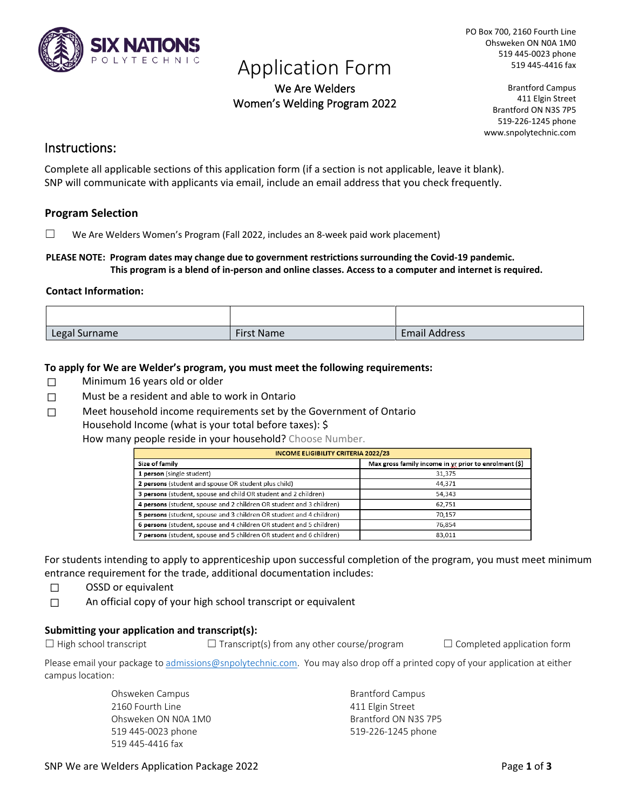

# Application Form<br>We Are Welders

Women's Welding Program 2022

PO Box 700, 2160 Fourth Line Ohsweken ON N0A 1M0 519 445-0023 phone 519 445-4416 fax

> Brantford Campus 411 Elgin Street Brantford ON N3S 7P5 519-226-1245 phone www.snpolytechnic.com

### Instructions:

Complete all applicable sections of this application form (if a section is not applicable, leave it blank). SNP will communicate with applicants via email, include an email address that you check frequently.

### **Program Selection**

 $\Box$  We Are Welders Women's Program (Fall 2022, includes an 8-week paid work placement)

#### **PLEASE NOTE: Program dates may change due to government restrictions surrounding the Covid-19 pandemic. This program is a blend of in-person and online classes. Access to a computer and internet is required.**

#### **Contact Information:**

| Legal Surname | <b>First Name</b> | <b>Email Address</b> |
|---------------|-------------------|----------------------|

#### **To apply for We are Welder's program, you must meet the following requirements:**

- ☐ Minimum 16 years old or older
- $\Box$  Must be a resident and able to work in Ontario
- □ Meet household income requirements set by the Government of Ontario Household Income (what is your total before taxes): \$

How many people reside in your household? Choose Number.

| <b>INCOME ELIGIBILITY CRITERIA 2022/23</b>                           |                                                       |  |  |  |  |
|----------------------------------------------------------------------|-------------------------------------------------------|--|--|--|--|
| Size of family                                                       | Max gross family income in yr prior to enrolment (\$) |  |  |  |  |
| 1 person (single student)                                            | 31,375                                                |  |  |  |  |
| 2 persons (student and spouse OR student plus child)                 | 44,371                                                |  |  |  |  |
| 3 persons (student, spouse and child OR student and 2 children)      | 54,343                                                |  |  |  |  |
| 4 persons (student, spouse and 2 children OR student and 3 children) | 62,751                                                |  |  |  |  |
| 5 persons (student, spouse and 3 children OR student and 4 children) | 70.157                                                |  |  |  |  |
| 6 persons (student, spouse and 4 children OR student and 5 children) | 76,854                                                |  |  |  |  |
| persons (student, spouse and 5 children OR student and 6 children)   | 83,011                                                |  |  |  |  |

For students intending to apply to apprenticeship upon successful completion of the program, you must meet minimum entrance requirement for the trade, additional documentation includes:

- ☐ OSSD or equivalent
- ☐ An official copy of your high school transcript or equivalent

#### **Submitting your application and transcript(s):**

 $\Box$  High school transcript  $\Box$  Transcript(s) from any other course/program  $\Box$  Completed application form

Please email your package t[o admissions@snpolytechnic.com.](mailto:admissions@snpolytechnic.com) You may also drop off a printed copy of your application at either campus location:

> Ohsweken Campus 2160 Fourth Line Ohsweken ON N0A 1M0 519 445-0023 phone 519 445-4416 fax

Brantford Campus 411 Elgin Street Brantford ON N3S 7P5 519-226-1245 phone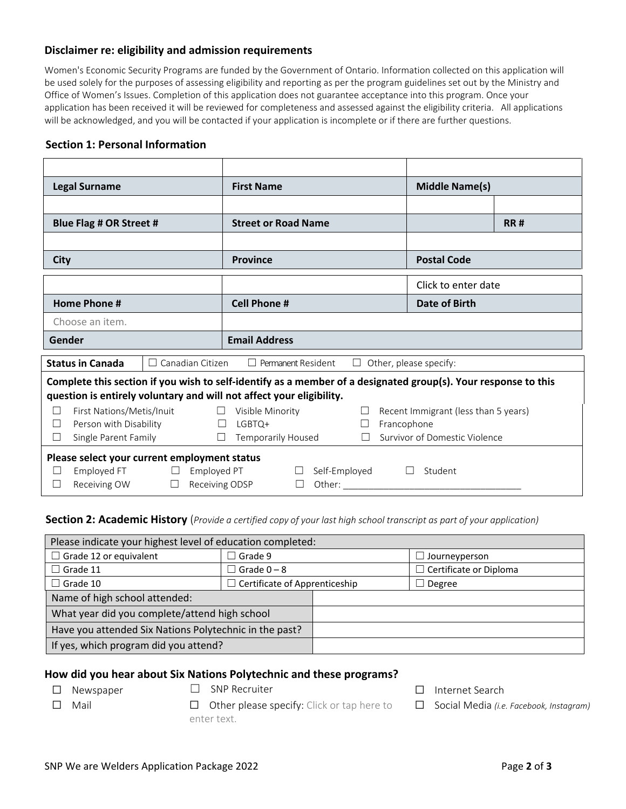#### **Disclaimer re: eligibility and admission requirements**

Women's Economic Security Programs are funded by the Government of Ontario. Information collected on this application will be used solely for the purposes of assessing eligibility and reporting as per the program guidelines set out by the Ministry and Office of Women's Issues. Completion of this application does not guarantee acceptance into this program. Once your application has been received it will be reviewed for completeness and assessed against the eligibility criteria. All applications will be acknowledged, and you will be contacted if your application is incomplete or if there are further questions.

#### **Section 1: Personal Information**

| <b>Legal Surname</b>                                                                                           |                         |  |                              | <b>First Name</b>          |                           |               |                                                                                                                                                                                                                                                                                                                                                                                                                                    |                                      | <b>Middle Name(s)</b>  |            |
|----------------------------------------------------------------------------------------------------------------|-------------------------|--|------------------------------|----------------------------|---------------------------|---------------|------------------------------------------------------------------------------------------------------------------------------------------------------------------------------------------------------------------------------------------------------------------------------------------------------------------------------------------------------------------------------------------------------------------------------------|--------------------------------------|------------------------|------------|
|                                                                                                                |                         |  |                              |                            |                           |               |                                                                                                                                                                                                                                                                                                                                                                                                                                    |                                      |                        |            |
|                                                                                                                | Blue Flag # OR Street # |  |                              | <b>Street or Road Name</b> |                           |               |                                                                                                                                                                                                                                                                                                                                                                                                                                    |                                      |                        | <b>RR#</b> |
|                                                                                                                |                         |  |                              |                            |                           |               |                                                                                                                                                                                                                                                                                                                                                                                                                                    |                                      |                        |            |
| City                                                                                                           |                         |  |                              | <b>Province</b>            |                           |               |                                                                                                                                                                                                                                                                                                                                                                                                                                    | <b>Postal Code</b>                   |                        |            |
|                                                                                                                |                         |  |                              |                            |                           |               |                                                                                                                                                                                                                                                                                                                                                                                                                                    |                                      | Click to enter date    |            |
| <b>Home Phone #</b>                                                                                            |                         |  |                              | <b>Cell Phone #</b>        |                           |               |                                                                                                                                                                                                                                                                                                                                                                                                                                    |                                      | Date of Birth          |            |
| Choose an item.                                                                                                |                         |  |                              |                            |                           |               |                                                                                                                                                                                                                                                                                                                                                                                                                                    |                                      |                        |            |
| Gender                                                                                                         |                         |  |                              | <b>Email Address</b>       |                           |               |                                                                                                                                                                                                                                                                                                                                                                                                                                    |                                      |                        |            |
| Canadian Citizen<br><b>Status in Canada</b>                                                                    |                         |  |                              |                            | $\Box$ Permanent Resident |               | $\perp$                                                                                                                                                                                                                                                                                                                                                                                                                            |                                      | Other, please specify: |            |
| Complete this section if you wish to self-identify as a member of a designated group(s). Your response to this |                         |  |                              |                            |                           |               |                                                                                                                                                                                                                                                                                                                                                                                                                                    |                                      |                        |            |
| question is entirely voluntary and will not affect your eligibility.                                           |                         |  |                              |                            |                           |               |                                                                                                                                                                                                                                                                                                                                                                                                                                    |                                      |                        |            |
| First Nations/Metis/Inuit<br>$\Box$                                                                            |                         |  | $\Box$                       | Visible Minority           |                           |               |                                                                                                                                                                                                                                                                                                                                                                                                                                    | Recent Immigrant (less than 5 years) |                        |            |
| Person with Disability<br>$\vert \ \ \vert$                                                                    |                         |  | LGBTQ+<br>$\perp$<br>$\perp$ |                            |                           | Francophone   |                                                                                                                                                                                                                                                                                                                                                                                                                                    |                                      |                        |            |
| $\Box$                                                                                                         | Single Parent Family    |  | П                            | <b>Temporarily Housed</b>  |                           |               | Survivor of Domestic Violence                                                                                                                                                                                                                                                                                                                                                                                                      |                                      |                        |            |
| Please select your current employment status                                                                   |                         |  |                              |                            |                           |               |                                                                                                                                                                                                                                                                                                                                                                                                                                    |                                      |                        |            |
|                                                                                                                | Employed FT             |  | Employed PT                  |                            | $\mathbf{L}$              | Self-Employed |                                                                                                                                                                                                                                                                                                                                                                                                                                    | $\perp$                              | Student                |            |
| $\perp$                                                                                                        | Receiving OW            |  | Receiving ODSP               |                            |                           |               | Other: $\frac{1}{\sqrt{1-\frac{1}{2}}\cdot\sqrt{1-\frac{1}{2}}\cdot\sqrt{1-\frac{1}{2}}\cdot\sqrt{1-\frac{1}{2}}\cdot\sqrt{1-\frac{1}{2}}\cdot\sqrt{1-\frac{1}{2}}\cdot\sqrt{1-\frac{1}{2}}\cdot\sqrt{1-\frac{1}{2}}\cdot\sqrt{1-\frac{1}{2}}\cdot\sqrt{1-\frac{1}{2}}\cdot\sqrt{1-\frac{1}{2}}\cdot\sqrt{1-\frac{1}{2}}\cdot\sqrt{1-\frac{1}{2}}\cdot\sqrt{1-\frac{1}{2}}\cdot\sqrt{1-\frac{1}{2}}\cdot\sqrt{1-\frac{1}{2}}\cdot$ |                                      |                        |            |

**Section 2: Academic History** (Provide a certified copy of your last high school transcript as part of your application)

| Please indicate your highest level of education completed: |                                      |  |                               |  |  |
|------------------------------------------------------------|--------------------------------------|--|-------------------------------|--|--|
| Grade 12 or equivalent                                     | $\Box$ Grade 9                       |  | $\Box$ Journeyperson          |  |  |
| Grade 11                                                   | $\Box$ Grade 0 – 8                   |  | $\Box$ Certificate or Diploma |  |  |
| Grade 10                                                   | $\Box$ Certificate of Apprenticeship |  | $\Box$ Degree                 |  |  |
| Name of high school attended:                              |                                      |  |                               |  |  |
| What year did you complete/attend high school              |                                      |  |                               |  |  |
| Have you attended Six Nations Polytechnic in the past?     |                                      |  |                               |  |  |
| If yes, which program did you attend?                      |                                      |  |                               |  |  |

#### **How did you hear about Six Nations Polytechnic and these programs?**

- 
- ☐ Newspaper ☐ SNP Recruiter ☐ Internet Search
- ☐ Mail ☐ Other please specify: Click or tap here to enter text.
- 

☐ Social Media *(i.e. Facebook, Instagram)*